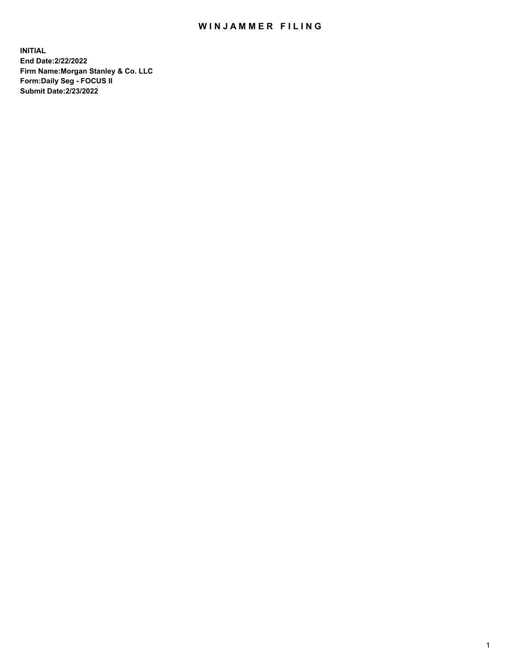## WIN JAMMER FILING

**INITIAL End Date:2/22/2022 Firm Name:Morgan Stanley & Co. LLC Form:Daily Seg - FOCUS II Submit Date:2/23/2022**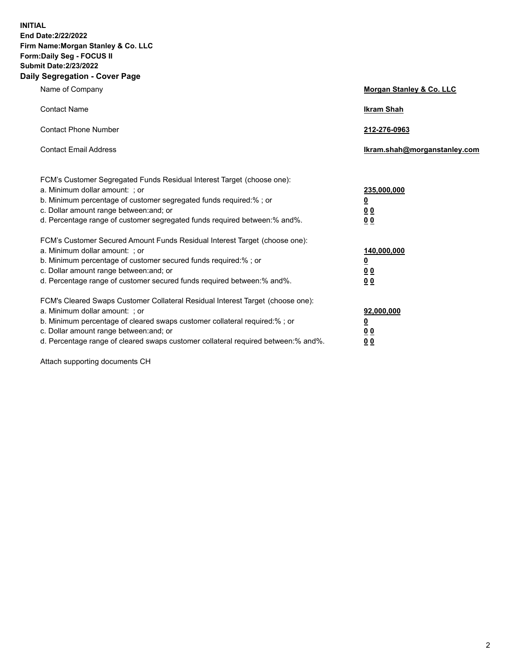**INITIAL End Date:2/22/2022 Firm Name:Morgan Stanley & Co. LLC Form:Daily Seg - FOCUS II Submit Date:2/23/2022 Daily Segregation - Cover Page**

| Name of Company                                                                                                                                                                                                                                                                                                                | Morgan Stanley & Co. LLC                                |
|--------------------------------------------------------------------------------------------------------------------------------------------------------------------------------------------------------------------------------------------------------------------------------------------------------------------------------|---------------------------------------------------------|
| <b>Contact Name</b>                                                                                                                                                                                                                                                                                                            | <b>Ikram Shah</b>                                       |
| <b>Contact Phone Number</b>                                                                                                                                                                                                                                                                                                    | 212-276-0963                                            |
| <b>Contact Email Address</b>                                                                                                                                                                                                                                                                                                   | Ikram.shah@morganstanley.com                            |
| FCM's Customer Segregated Funds Residual Interest Target (choose one):<br>a. Minimum dollar amount: ; or<br>b. Minimum percentage of customer segregated funds required:% ; or<br>c. Dollar amount range between: and; or<br>d. Percentage range of customer segregated funds required between:% and%.                         | 235,000,000<br><u>0</u><br><u>00</u><br><u>00</u>       |
| FCM's Customer Secured Amount Funds Residual Interest Target (choose one):<br>a. Minimum dollar amount: ; or<br>b. Minimum percentage of customer secured funds required:%; or<br>c. Dollar amount range between: and; or<br>d. Percentage range of customer secured funds required between:% and%.                            | 140,000,000<br><u>0</u><br><u>0 0</u><br>0 <sub>0</sub> |
| FCM's Cleared Swaps Customer Collateral Residual Interest Target (choose one):<br>a. Minimum dollar amount: ; or<br>b. Minimum percentage of cleared swaps customer collateral required:% ; or<br>c. Dollar amount range between: and; or<br>d. Percentage range of cleared swaps customer collateral required between:% and%. | 92,000,000<br><u>0</u><br><u>00</u><br>00               |

Attach supporting documents CH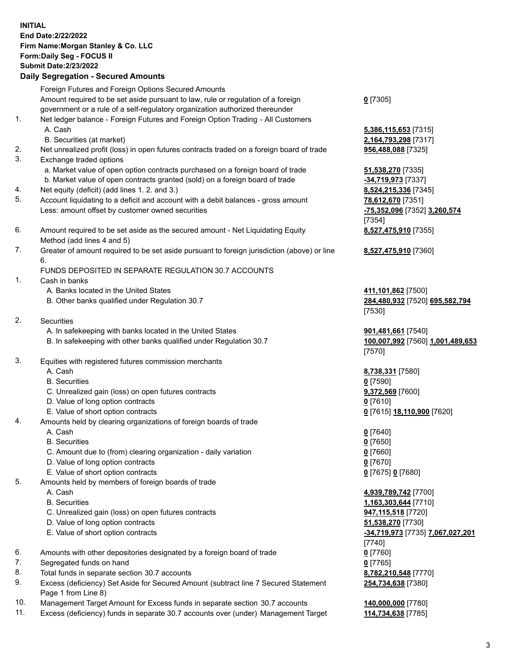## **INITIAL End Date:2/22/2022 Firm Name:Morgan Stanley & Co. LLC Form:Daily Seg - FOCUS II Submit Date:2/23/2022 Daily Segregation - Secured Amounts** Foreign Futures and Foreign Options Secured Amounts Amount required to be set aside pursuant to law, rule or regulation of a foreign government or a rule of a self-regulatory organization authorized thereunder **0** [7305] 1. Net ledger balance - Foreign Futures and Foreign Option Trading - All Customers A. Cash **5,386,115,653** [7315] B. Securities (at market) **2,164,793,298** [7317] 2. Net unrealized profit (loss) in open futures contracts traded on a foreign board of trade **956,488,088** [7325] 3. Exchange traded options a. Market value of open option contracts purchased on a foreign board of trade **51,538,270** [7335] b. Market value of open contracts granted (sold) on a foreign board of trade **-34,719,973** [7337] 4. Net equity (deficit) (add lines 1. 2. and 3.) **8,524,215,336** [7345] 5. Account liquidating to a deficit and account with a debit balances - gross amount **78,612,670** [7351] Less: amount offset by customer owned securities **-75,352,096** [7352] **3,260,574** [7354] 6. Amount required to be set aside as the secured amount - Net Liquidating Equity Method (add lines 4 and 5) **8,527,475,910** [7355] 7. Greater of amount required to be set aside pursuant to foreign jurisdiction (above) or line 6. **8,527,475,910** [7360] FUNDS DEPOSITED IN SEPARATE REGULATION 30.7 ACCOUNTS 1. Cash in banks A. Banks located in the United States **411,101,862** [7500] B. Other banks qualified under Regulation 30.7 **284,480,932** [7520] **695,582,794** [7530] 2. Securities A. In safekeeping with banks located in the United States **901,481,661** [7540] B. In safekeeping with other banks qualified under Regulation 30.7 **100,007,992** [7560] **1,001,489,653** [7570] 3. Equities with registered futures commission merchants A. Cash **8,738,331** [7580] B. Securities **0** [7590] C. Unrealized gain (loss) on open futures contracts **9,372,569** [7600] D. Value of long option contracts **0** [7610] E. Value of short option contracts **0** [7615] **18,110,900** [7620] 4. Amounts held by clearing organizations of foreign boards of trade A. Cash **0** [7640] B. Securities **0** [7650] C. Amount due to (from) clearing organization - daily variation **0** [7660] D. Value of long option contracts **0** [7670] E. Value of short option contracts **0** [7675] **0** [7680] 5. Amounts held by members of foreign boards of trade A. Cash **4,939,789,742** [7700] B. Securities **1,163,303,644** [7710] C. Unrealized gain (loss) on open futures contracts **947,115,518** [7720] D. Value of long option contracts **51,538,270** [7730] E. Value of short option contracts **-34,719,973** [7735] **7,067,027,201** [7740] 6. Amounts with other depositories designated by a foreign board of trade **0** [7760] 7. Segregated funds on hand **0** [7765] 8. Total funds in separate section 30.7 accounts **8,782,210,548** [7770]

- 9. Excess (deficiency) Set Aside for Secured Amount (subtract line 7 Secured Statement Page 1 from Line 8)
- 10. Management Target Amount for Excess funds in separate section 30.7 accounts **140,000,000** [7780]
- 11. Excess (deficiency) funds in separate 30.7 accounts over (under) Management Target **114,734,638** [7785]

**254,734,638** [7380]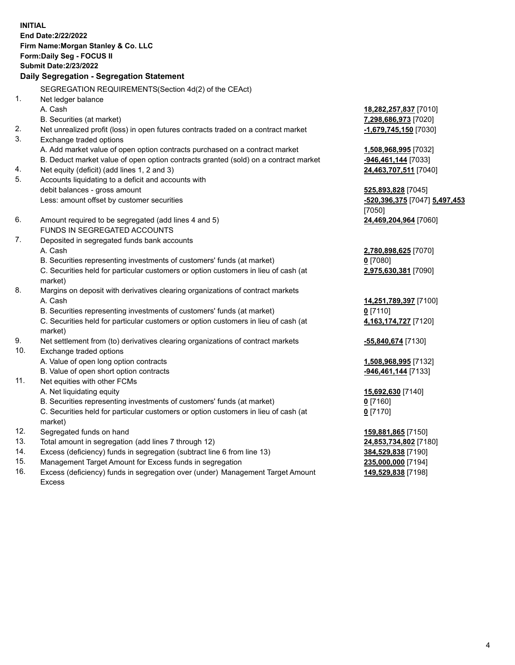**INITIAL End Date:2/22/2022 Firm Name:Morgan Stanley & Co. LLC Form:Daily Seg - FOCUS II Submit Date:2/23/2022 Daily Segregation - Segregation Statement** SEGREGATION REQUIREMENTS(Section 4d(2) of the CEAct) 1. Net ledger balance A. Cash **18,282,257,837** [7010] B. Securities (at market) **7,298,686,973** [7020] 2. Net unrealized profit (loss) in open futures contracts traded on a contract market **-1,679,745,150** [7030] 3. Exchange traded options A. Add market value of open option contracts purchased on a contract market **1,508,968,995** [7032] B. Deduct market value of open option contracts granted (sold) on a contract market **-946,461,144** [7033] 4. Net equity (deficit) (add lines 1, 2 and 3) **24,463,707,511** [7040] 5. Accounts liquidating to a deficit and accounts with debit balances - gross amount **525,893,828** [7045] Less: amount offset by customer securities **-520,396,375** [7047] **5,497,453** [7050] 6. Amount required to be segregated (add lines 4 and 5) **24,469,204,964** [7060] FUNDS IN SEGREGATED ACCOUNTS 7. Deposited in segregated funds bank accounts A. Cash **2,780,898,625** [7070] B. Securities representing investments of customers' funds (at market) **0** [7080] C. Securities held for particular customers or option customers in lieu of cash (at market) **2,975,630,381** [7090] 8. Margins on deposit with derivatives clearing organizations of contract markets A. Cash **14,251,789,397** [7100] B. Securities representing investments of customers' funds (at market) **0** [7110] C. Securities held for particular customers or option customers in lieu of cash (at market) **4,163,174,727** [7120] 9. Net settlement from (to) derivatives clearing organizations of contract markets **-55,840,674** [7130] 10. Exchange traded options A. Value of open long option contracts **1,508,968,995** [7132] B. Value of open short option contracts **-946,461,144** [7133] 11. Net equities with other FCMs A. Net liquidating equity **15,692,630** [7140] B. Securities representing investments of customers' funds (at market) **0** [7160] C. Securities held for particular customers or option customers in lieu of cash (at market) **0** [7170] 12. Segregated funds on hand **159,881,865** [7150] 13. Total amount in segregation (add lines 7 through 12) **24,853,734,802** [7180] 14. Excess (deficiency) funds in segregation (subtract line 6 from line 13) **384,529,838** [7190]

- 15. Management Target Amount for Excess funds in segregation **235,000,000** [7194]
- 16. Excess (deficiency) funds in segregation over (under) Management Target Amount Excess

**149,529,838** [7198]